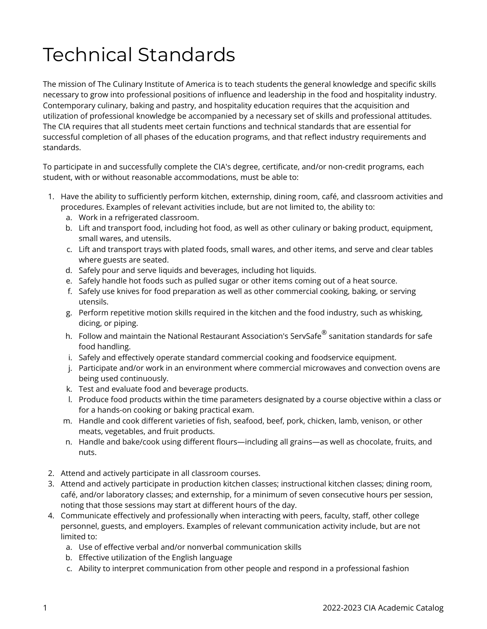## Technical Standards

The mission of The Culinary Institute of America is to teach students the general knowledge and specific skills necessary to grow into professional positions of influence and leadership in the food and hospitality industry. Contemporary culinary, baking and pastry, and hospitality education requires that the acquisition and utilization of professional knowledge be accompanied by a necessary set of skills and professional attitudes. The CIA requires that all students meet certain functions and technical standards that are essential for successful completion of all phases of the education programs, and that reflect industry requirements and standards.

To participate in and successfully complete the CIA's degree, certificate, and/or non-credit programs, each student, with or without reasonable accommodations, must be able to:

- 1. Have the ability to sufficiently perform kitchen, externship, dining room, café, and classroom activities and procedures. Examples of relevant activities include, but are not limited to, the ability to:
	- a. Work in a refrigerated classroom.
	- b. Lift and transport food, including hot food, as well as other culinary or baking product, equipment, small wares, and utensils.
	- c. Lift and transport trays with plated foods, small wares, and other items, and serve and clear tables where guests are seated.
	- d. Safely pour and serve liquids and beverages, including hot liquids.
	- e. Safely handle hot foods such as pulled sugar or other items coming out of a heat source.
	- f. Safely use knives for food preparation as well as other commercial cooking, baking, or serving utensils.
	- g. Perform repetitive motion skills required in the kitchen and the food industry, such as whisking, dicing, or piping.
	- h.  $\,$  Follow and maintain the National Restaurant Association's ServSafe $^\circledR$  sanitation standards for safe food handling.
	- i. Safely and effectively operate standard commercial cooking and foodservice equipment.
	- j. Participate and/or work in an environment where commercial microwaves and convection ovens are being used continuously.
	- k. Test and evaluate food and beverage products.
	- l. Produce food products within the time parameters designated by a course objective within a class or for a hands-on cooking or baking practical exam.
	- m. Handle and cook different varieties of fish, seafood, beef, pork, chicken, lamb, venison, or other meats, vegetables, and fruit products.
	- n. Handle and bake/cook using different flours—including all grains—as well as chocolate, fruits, and nuts.
- 2. Attend and actively participate in all classroom courses.
- 3. Attend and actively participate in production kitchen classes; instructional kitchen classes; dining room, café, and/or laboratory classes; and externship, for a minimum of seven consecutive hours per session, noting that those sessions may start at different hours of the day.
- 4. Communicate effectively and professionally when interacting with peers, faculty, staff, other college personnel, guests, and employers. Examples of relevant communication activity include, but are not limited to:
	- a. Use of effective verbal and/or nonverbal communication skills
	- b. Effective utilization of the English language
	- c. Ability to interpret communication from other people and respond in a professional fashion